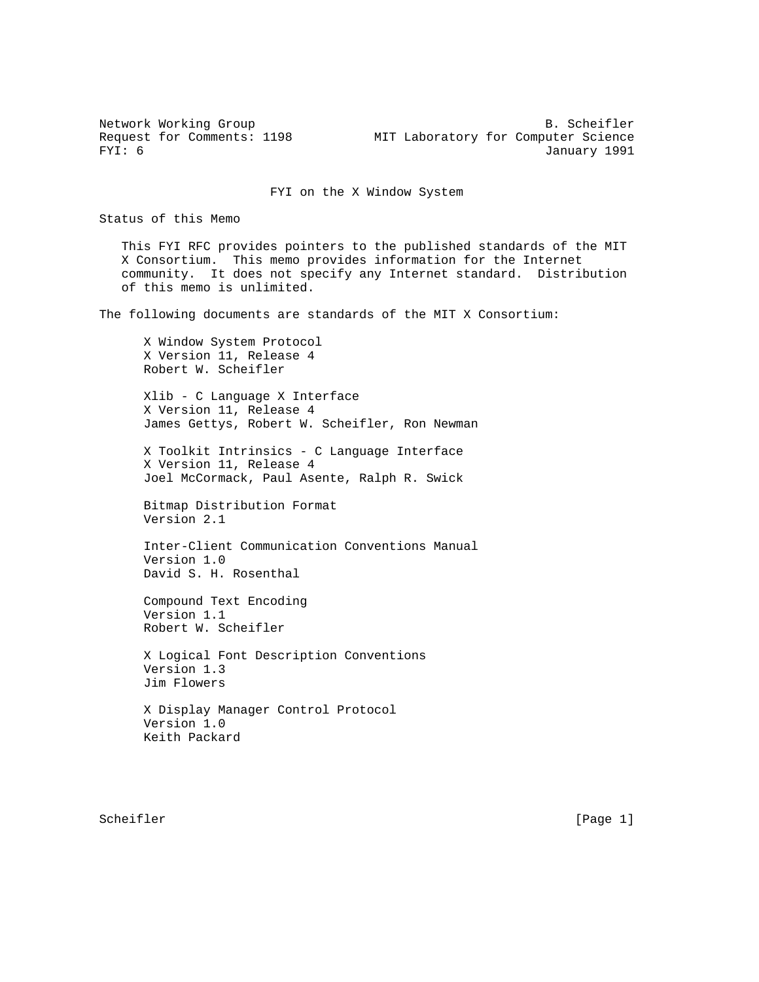Network Working Group B. Scheifler Request for Comments: 1198 MIT Laboratory for Computer Science<br>FYI: 6 January 1991 January 1991

FYI on the X Window System

Status of this Memo

 This FYI RFC provides pointers to the published standards of the MIT X Consortium. This memo provides information for the Internet community. It does not specify any Internet standard. Distribution of this memo is unlimited.

The following documents are standards of the MIT X Consortium:

 X Window System Protocol X Version 11, Release 4 Robert W. Scheifler

 Xlib - C Language X Interface X Version 11, Release 4 James Gettys, Robert W. Scheifler, Ron Newman

 X Toolkit Intrinsics - C Language Interface X Version 11, Release 4 Joel McCormack, Paul Asente, Ralph R. Swick

 Bitmap Distribution Format Version 2.1

 Inter-Client Communication Conventions Manual Version 1.0 David S. H. Rosenthal

 Compound Text Encoding Version 1.1 Robert W. Scheifler

 X Logical Font Description Conventions Version 1.3 Jim Flowers

 X Display Manager Control Protocol Version 1.0 Keith Packard

Scheifler [Page 1] [Page 1]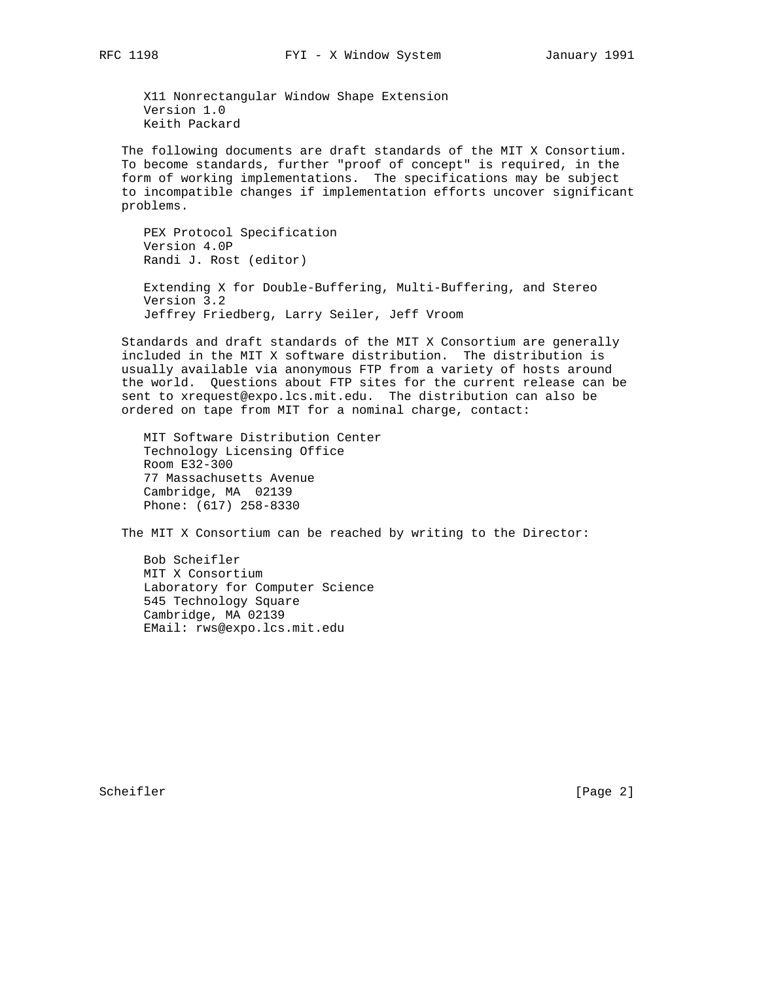X11 Nonrectangular Window Shape Extension Version 1.0 Keith Packard

 The following documents are draft standards of the MIT X Consortium. To become standards, further "proof of concept" is required, in the form of working implementations. The specifications may be subject to incompatible changes if implementation efforts uncover significant problems.

 PEX Protocol Specification Version 4.0P Randi J. Rost (editor) Extending X for Double-Buffering, Multi-Buffering, and Stereo Version 3.2 Jeffrey Friedberg, Larry Seiler, Jeff Vroom

 Standards and draft standards of the MIT X Consortium are generally included in the MIT X software distribution. The distribution is usually available via anonymous FTP from a variety of hosts around the world. Questions about FTP sites for the current release can be sent to xrequest@expo.lcs.mit.edu. The distribution can also be ordered on tape from MIT for a nominal charge, contact:

 MIT Software Distribution Center Technology Licensing Office Room E32-300 77 Massachusetts Avenue Cambridge, MA 02139 Phone: (617) 258-8330

The MIT X Consortium can be reached by writing to the Director:

 Bob Scheifler MIT X Consortium Laboratory for Computer Science 545 Technology Square Cambridge, MA 02139 EMail: rws@expo.lcs.mit.edu

Scheifler [Page 2]